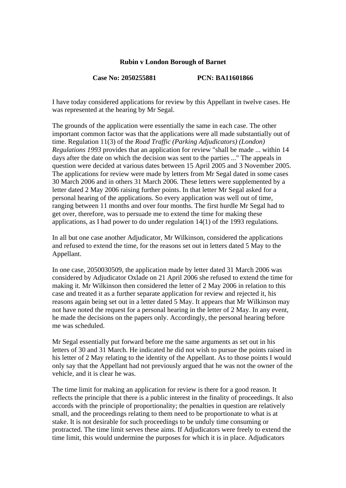## **Rubin v London Borough of Barnet**

## **Case No: 2050255881 PCN: BA11601866**

I have today considered applications for review by this Appellant in twelve cases. He was represented at the hearing by Mr Segal.

The grounds of the application were essentially the same in each case. The other important common factor was that the applications were all made substantially out of time. Regulation 11(3) of the *Road Traffic (Parking Adjudicators) (London) Regulations 1993* provides that an application for review "shall be made ... within 14 days after the date on which the decision was sent to the parties ..." The appeals in question were decided at various dates between 15 April 2005 and 3 November 2005. The applications for review were made by letters from Mr Segal dated in some cases 30 March 2006 and in others 31 March 2006. These letters were supplemented by a letter dated 2 May 2006 raising further points. In that letter Mr Segal asked for a personal hearing of the applications. So every application was well out of time, ranging between 11 months and over four months. The first hurdle Mr Segal had to get over, therefore, was to persuade me to extend the time for making these applications, as I had power to do under regulation 14(1) of the 1993 regulations.

In all but one case another Adjudicator, Mr Wilkinson, considered the applications and refused to extend the time, for the reasons set out in letters dated 5 May to the Appellant.

In one case, 2050030509, the application made by letter dated 31 March 2006 was considered by Adjudicator Oxlade on 21 April 2006 she refused to extend the time for making it. Mr Wilkinson then considered the letter of 2 May 2006 in relation to this case and treated it as a further separate application for review and rejected it, his reasons again being set out in a letter dated 5 May. It appears that Mr Wilkinson may not have noted the request for a personal hearing in the letter of 2 May. In any event, he made the decisions on the papers only. Accordingly, the personal hearing before me was scheduled.

Mr Segal essentially put forward before me the same arguments as set out in his letters of 30 and 31 March. He indicated he did not wish to pursue the points raised in his letter of 2 May relating to the identity of the Appellant. As to those points I would only say that the Appellant had not previously argued that he was not the owner of the vehicle, and it is clear he was.

The time limit for making an application for review is there for a good reason. It reflects the principle that there is a public interest in the finality of proceedings. It also accords with the principle of proportionality; the penalties in question are relatively small, and the proceedings relating to them need to be proportionate to what is at stake. It is not desirable for such proceedings to be unduly time consuming or protracted. The time limit serves these aims. If Adjudicators were freely to extend the time limit, this would undermine the purposes for which it is in place. Adjudicators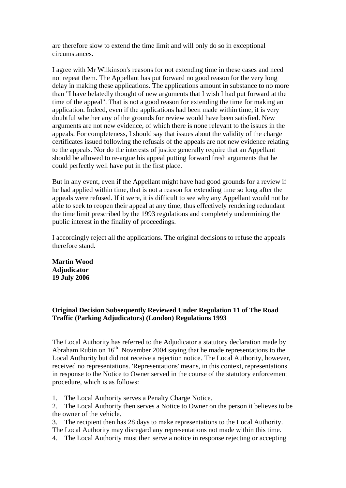are therefore slow to extend the time limit and will only do so in exceptional circumstances.

I agree with Mr Wilkinson's reasons for not extending time in these cases and need not repeat them. The Appellant has put forward no good reason for the very long delay in making these applications. The applications amount in substance to no more than "I have belatedly thought of new arguments that I wish I had put forward at the time of the appeal". That is not a good reason for extending the time for making an application. Indeed, even if the applications had been made within time, it is very doubtful whether any of the grounds for review would have been satisfied. New arguments are not new evidence, of which there is none relevant to the issues in the appeals. For completeness, I should say that issues about the validity of the charge certificates issued following the refusals of the appeals are not new evidence relating to the appeals. Nor do the interests of justice generally require that an Appellant should be allowed to re-argue his appeal putting forward fresh arguments that he could perfectly well have put in the first place.

But in any event, even if the Appellant might have had good grounds for a review if he had applied within time, that is not a reason for extending time so long after the appeals were refused. If it were, it is difficult to see why any Appellant would not be able to seek to reopen their appeal at any time, thus effectively rendering redundant the time limit prescribed by the 1993 regulations and completely undermining the public interest in the finality of proceedings.

I accordingly reject all the applications. The original decisions to refuse the appeals therefore stand.

**Martin Wood Adjudicator 19 July 2006** 

**Original Decision Subsequently Reviewed Under Regulation 11 of The Road Traffic (Parking Adjudicators) (London) Regulations 1993**

The Local Authority has referred to the Adjudicator a statutory declaration made by Abraham Rubin on  $16<sup>th</sup>$  November 2004 saying that he made representations to the Local Authority but did not receive a rejection notice. The Local Authority, however, received no representations. 'Representations' means, in this context, representations in response to the Notice to Owner served in the course of the statutory enforcement procedure, which is as follows:

1. The Local Authority serves a Penalty Charge Notice.

2. The Local Authority then serves a Notice to Owner on the person it believes to be the owner of the vehicle.

3. The recipient then has 28 days to make representations to the Local Authority. The Local Authority may disregard any representations not made within this time.

4. The Local Authority must then serve a notice in response rejecting or accepting